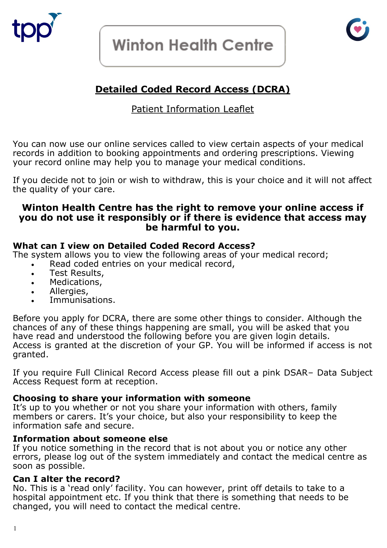

# **Winton Health Centre**



## **Detailed Coded Record Access (DCRA)**

### Patient Information Leaflet

You can now use our online services called to view certain aspects of your medical records in addition to booking appointments and ordering prescriptions. Viewing your record online may help you to manage your medical conditions.

If you decide not to join or wish to withdraw, this is your choice and it will not affect the quality of your care.

#### **Winton Health Centre has the right to remove your online access if you do not use it responsibly or if there is evidence that access may be harmful to you.**

#### **What can I view on Detailed Coded Record Access?**

The system allows you to view the following areas of your medical record;

- Read coded entries on your medical record,
- Test Results,
- Medications,
- Allergies,
- Immunisations.

Before you apply for DCRA, there are some other things to consider. Although the chances of any of these things happening are small, you will be asked that you have read and understood the following before you are given login details. Access is granted at the discretion of your GP. You will be informed if access is not granted.

If you require Full Clinical Record Access please fill out a pink DSAR– Data Subject Access Request form at reception.

#### **Choosing to share your information with someone**

It's up to you whether or not you share your information with others, family members or carers. It's your choice, but also your responsibility to keep the information safe and secure.

#### **Information about someone else**

If you notice something in the record that is not about you or notice any other errors, please log out of the system immediately and contact the medical centre as soon as possible.

#### **Can I alter the record?**

No. This is a 'read only' facility. You can however, print off details to take to a hospital appointment etc. If you think that there is something that needs to be changed, you will need to contact the medical centre.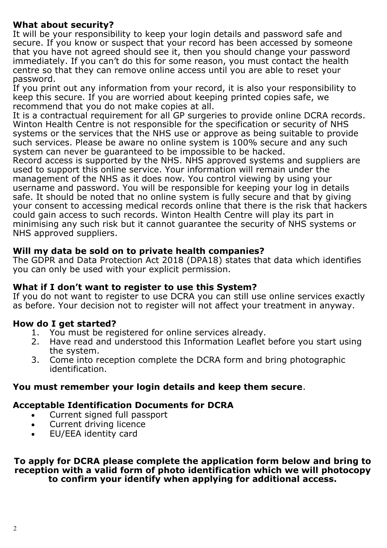### **What about security?**

It will be your responsibility to keep your login details and password safe and secure. If you know or suspect that your record has been accessed by someone that you have not agreed should see it, then you should change your password immediately. If you can't do this for some reason, you must contact the health centre so that they can remove online access until you are able to reset your password.

If you print out any information from your record, it is also your responsibility to keep this secure. If you are worried about keeping printed copies safe, we recommend that you do not make copies at all.

It is a contractual requirement for all GP surgeries to provide online DCRA records. Winton Health Centre is not responsible for the specification or security of NHS systems or the services that the NHS use or approve as being suitable to provide such services. Please be aware no online system is 100% secure and any such system can never be guaranteed to be impossible to be hacked.

Record access is supported by the NHS. NHS approved systems and suppliers are used to support this online service. Your information will remain under the management of the NHS as it does now. You control viewing by using your username and password. You will be responsible for keeping your log in details safe. It should be noted that no online system is fully secure and that by giving your consent to accessing medical records online that there is the risk that hackers could gain access to such records. Winton Health Centre will play its part in minimising any such risk but it cannot guarantee the security of NHS systems or NHS approved suppliers.

#### **Will my data be sold on to private health companies?**

The GDPR and Data Protection Act 2018 (DPA18) states that data which identifies you can only be used with your explicit permission.

### **What if I don't want to register to use this System?**

If you do not want to register to use DCRA you can still use online services exactly as before. Your decision not to register will not affect your treatment in anyway.

### **How do I get started?**

- 1. You must be registered for online services already.
- 2. Have read and understood this Information Leaflet before you start using the system.
- 3. Come into reception complete the DCRA form and bring photographic identification.

### **You must remember your login details and keep them secure**.

### **Acceptable Identification Documents for DCRA**

- Current signed full passport
- Current driving licence
- EU/EEA identity card

**To apply for DCRA please complete the application form below and bring to reception with a valid form of photo identification which we will photocopy to confirm your identify when applying for additional access.**